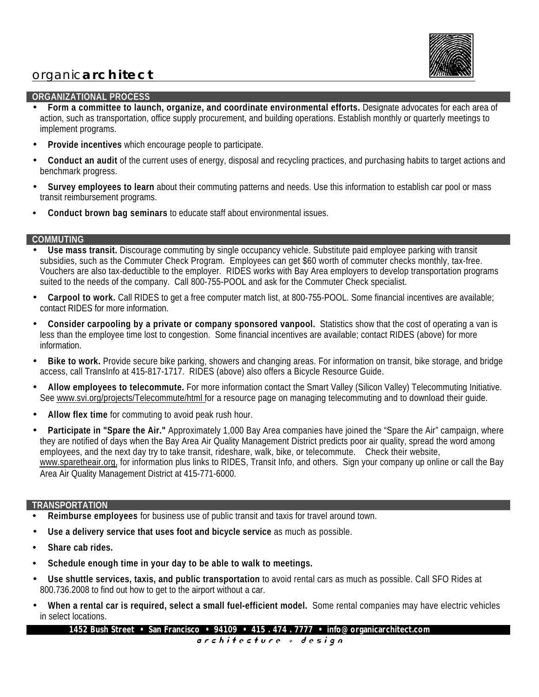

# organic **architect**

## **ORGANIZATIONAL PROCESS**

• **Form a committee to launch, organize, and coordinate environmental efforts.** Designate advocates for each area of action, such as transportation, office supply procurement, and building operations. Establish monthly or quarterly meetings to implement programs.

- **Provide incentives** which encourage people to participate.
- **Conduct an audit** of the current uses of energy, disposal and recycling practices, and purchasing habits to target actions and benchmark progress.
- **Survey employees to learn** about their commuting patterns and needs. Use this information to establish car pool or mass transit reimbursement programs.
- **Conduct brown bag seminars** to educate staff about environmental issues.

### **COMMUTING**

- **Use mass transit.** Discourage commuting by single occupancy vehicle. Substitute paid employee parking with transit subsidies, such as the Commuter Check Program. Employees can get \$60 worth of commuter checks monthly, tax-free. Vouchers are also tax-deductible to the employer. RIDES works with Bay Area employers to develop transportation programs suited to the needs of the company. Call 800-755-POOL and ask for the Commuter Check specialist.
- **Carpool to work.** Call RIDES to get a free computer match list, at 800-755-POOL. Some financial incentives are available; contact RIDES for more information.
- **Consider carpooling by a private or company sponsored vanpool.** Statistics show that the cost of operating a van is less than the employee time lost to congestion. Some financial incentives are available; contact RIDES (above) for more information.
- **Bike to work.** Provide secure bike parking, showers and changing areas. For information on transit, bike storage, and bridge access, call TransInfo at 415-817-1717. RIDES (above) also offers a Bicycle Resource Guide.
- **Allow employees to telecommute.** For more information contact the Smart Valley (Silicon Valley) Telecommuting Initiative. See www.svi.org/projects/Telecommute/html for a resource page on managing telecommuting and to download their guide.
- **Allow flex time** for commuting to avoid peak rush hour.
- Participate in "Spare the Air." Approximately 1,000 Bay Area companies have joined the "Spare the Air" campaign, where they are notified of days when the Bay Area Air Quality Management District predicts poor air quality, spread the word among employees, and the next day try to take transit, rideshare, walk, bike, or telecommute. Check their website, www.sparetheair.org, for information plus links to RIDES, Transit Info, and others. Sign your company up online or call the Bay Area Air Quality Management District at 415-771-6000.

### **TRANSPORTATION**

- **Reimburse employees** for business use of public transit and taxis for travel around town.
- **Use a delivery service that uses foot and bicycle service** as much as possible.
- **Share cab rides.**
- **Schedule enough time in your day to be able to walk to meetings.**
- **Use shuttle services, taxis, and public transportation** to avoid rental cars as much as possible. Call SFO Rides at 800.736.2008 to find out how to get to the airport without a car.
- **When a rental car is required, select a small fuel-efficient model.** Some rental companies may have electric vehicles in select locations.

**1452 Bush Street • San Francisco • 94109 • 415 . 474 . 7777 • info@organicarchitect.com**

a r c h i t e c t u r e + d e s i g n